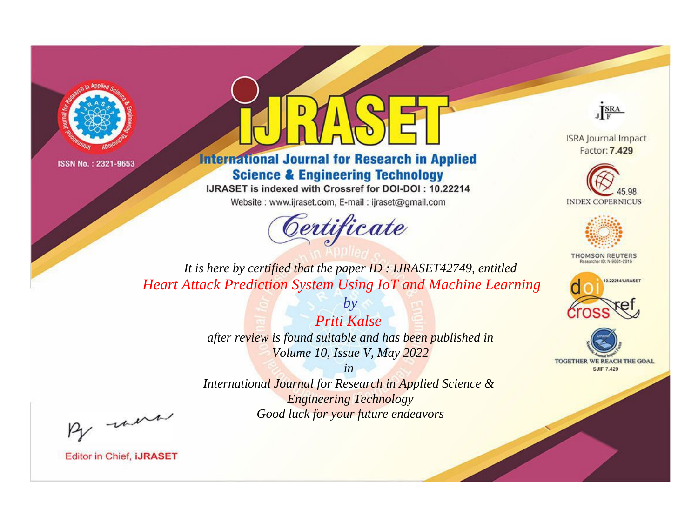



**International Journal for Research in Applied Science & Engineering Technology** 

IJRASET is indexed with Crossref for DOI-DOI: 10.22214

Website: www.ijraset.com, E-mail: ijraset@gmail.com



JERA

**ISRA Journal Impact** Factor: 7.429





**THOMSON REUTERS** 



TOGETHER WE REACH THE GOAL **SJIF 7.429** 

*It is here by certified that the paper ID : IJRASET42749, entitled Heart Attack Prediction System Using IoT and Machine Learning*

> *Priti Kalse after review is found suitable and has been published in Volume 10, Issue V, May 2022*

*by*

*in* 

*International Journal for Research in Applied Science & Engineering Technology Good luck for your future endeavors*

By morn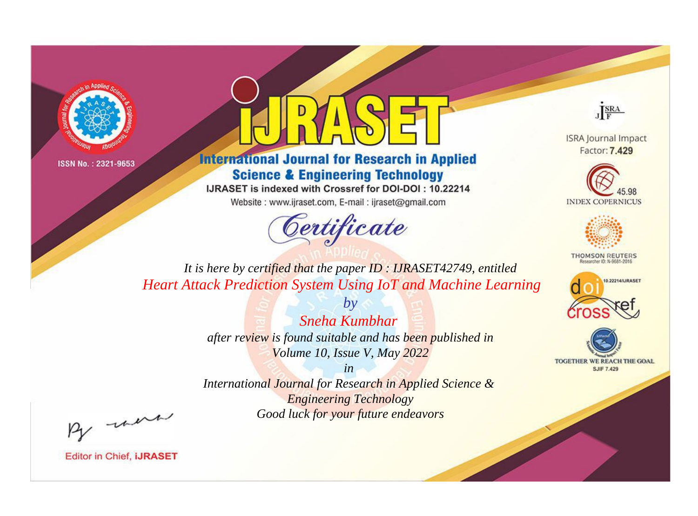



**International Journal for Research in Applied Science & Engineering Technology** 

IJRASET is indexed with Crossref for DOI-DOI: 10.22214

Website: www.ijraset.com, E-mail: ijraset@gmail.com



JERA

**ISRA Journal Impact** Factor: 7.429





**THOMSON REUTERS** 



TOGETHER WE REACH THE GOAL **SJIF 7.429** 

*It is here by certified that the paper ID : IJRASET42749, entitled Heart Attack Prediction System Using IoT and Machine Learning*

> *by Sneha Kumbhar after review is found suitable and has been published in Volume 10, Issue V, May 2022*

> > *in*

*International Journal for Research in Applied Science & Engineering Technology Good luck for your future endeavors*

By morn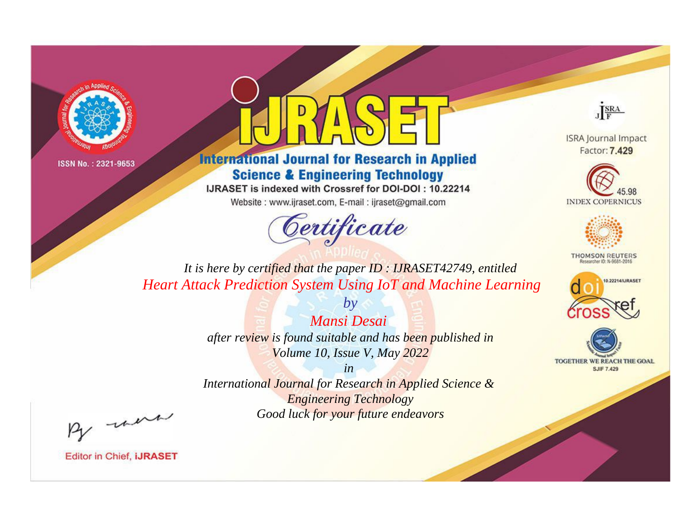



**International Journal for Research in Applied Science & Engineering Technology** 

IJRASET is indexed with Crossref for DOI-DOI: 10.22214

Website: www.ijraset.com, E-mail: ijraset@gmail.com



JERA

**ISRA Journal Impact** Factor: 7.429





**THOMSON REUTERS** 



TOGETHER WE REACH THE GOAL **SJIF 7.429** 

*It is here by certified that the paper ID : IJRASET42749, entitled Heart Attack Prediction System Using IoT and Machine Learning*

> *Mansi Desai after review is found suitable and has been published in Volume 10, Issue V, May 2022*

*by*

*in* 

*International Journal for Research in Applied Science & Engineering Technology Good luck for your future endeavors*

By morn